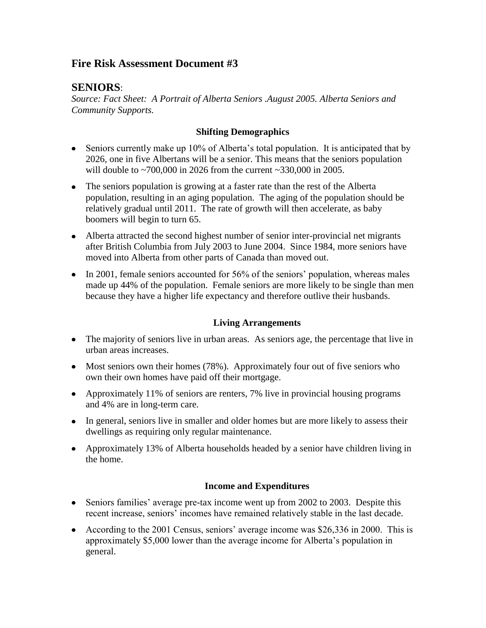# **Fire Risk Assessment Document #3**

# **SENIORS**:

*Source: Fact Sheet: A Portrait of Alberta Seniors .August 2005. Alberta Seniors and Community Supports.*

## **Shifting Demographics**

- Seniors currently make up 10% of Alberta's total population. It is anticipated that by 2026, one in five Albertans will be a senior. This means that the seniors population will double to ~700,000 in 2026 from the current ~330,000 in 2005.
- The seniors population is growing at a faster rate than the rest of the Alberta population, resulting in an aging population. The aging of the population should be relatively gradual until 2011. The rate of growth will then accelerate, as baby boomers will begin to turn 65.
- Alberta attracted the second highest number of senior inter-provincial net migrants after British Columbia from July 2003 to June 2004. Since 1984, more seniors have moved into Alberta from other parts of Canada than moved out.
- In 2001, female seniors accounted for 56% of the seniors' population, whereas males made up 44% of the population. Female seniors are more likely to be single than men because they have a higher life expectancy and therefore outlive their husbands.

## **Living Arrangements**

- The majority of seniors live in urban areas. As seniors age, the percentage that live in urban areas increases.
- Most seniors own their homes (78%). Approximately four out of five seniors who own their own homes have paid off their mortgage.
- Approximately 11% of seniors are renters, 7% live in provincial housing programs and 4% are in long-term care.
- In general, seniors live in smaller and older homes but are more likely to assess their dwellings as requiring only regular maintenance.
- Approximately 13% of Alberta households headed by a senior have children living in the home.

#### **Income and Expenditures**

- Seniors families' average pre-tax income went up from 2002 to 2003. Despite this recent increase, seniors' incomes have remained relatively stable in the last decade.
- According to the 2001 Census, seniors' average income was \$26,336 in 2000. This is approximately \$5,000 lower than the average income for Alberta's population in general.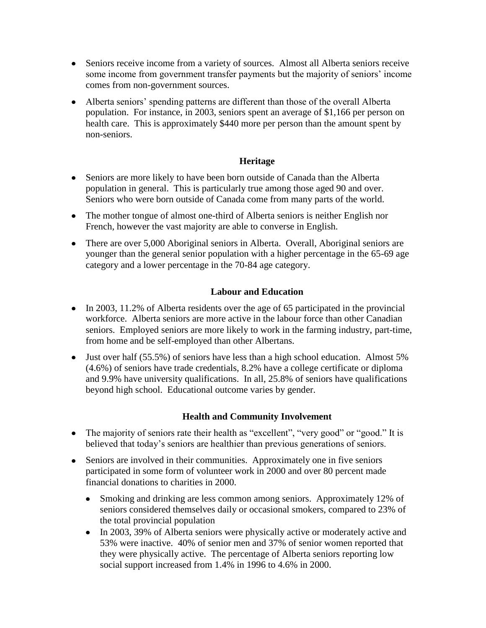- Seniors receive income from a variety of sources. Almost all Alberta seniors receive some income from government transfer payments but the majority of seniors' income comes from non-government sources.
- Alberta seniors' spending patterns are different than those of the overall Alberta population. For instance, in 2003, seniors spent an average of \$1,166 per person on health care. This is approximately \$440 more per person than the amount spent by non-seniors.

## **Heritage**

- Seniors are more likely to have been born outside of Canada than the Alberta population in general. This is particularly true among those aged 90 and over. Seniors who were born outside of Canada come from many parts of the world.
- The mother tongue of almost one-third of Alberta seniors is neither English nor French, however the vast majority are able to converse in English.
- There are over 5,000 Aboriginal seniors in Alberta. Overall, Aboriginal seniors are younger than the general senior population with a higher percentage in the 65-69 age category and a lower percentage in the 70-84 age category.

#### **Labour and Education**

- In 2003, 11.2% of Alberta residents over the age of 65 participated in the provincial workforce. Alberta seniors are more active in the labour force than other Canadian seniors. Employed seniors are more likely to work in the farming industry, part-time, from home and be self-employed than other Albertans.
- Just over half (55.5%) of seniors have less than a high school education. Almost 5% (4.6%) of seniors have trade credentials, 8.2% have a college certificate or diploma and 9.9% have university qualifications. In all, 25.8% of seniors have qualifications beyond high school. Educational outcome varies by gender.

#### **Health and Community Involvement**

- The majority of seniors rate their health as "excellent", "very good" or "good." It is believed that today's seniors are healthier than previous generations of seniors.
- Seniors are involved in their communities. Approximately one in five seniors participated in some form of volunteer work in 2000 and over 80 percent made financial donations to charities in 2000.
	- $\bullet$ Smoking and drinking are less common among seniors. Approximately 12% of seniors considered themselves daily or occasional smokers, compared to 23% of the total provincial population
	- In 2003, 39% of Alberta seniors were physically active or moderately active and 53% were inactive. 40% of senior men and 37% of senior women reported that they were physically active. The percentage of Alberta seniors reporting low social support increased from 1.4% in 1996 to 4.6% in 2000.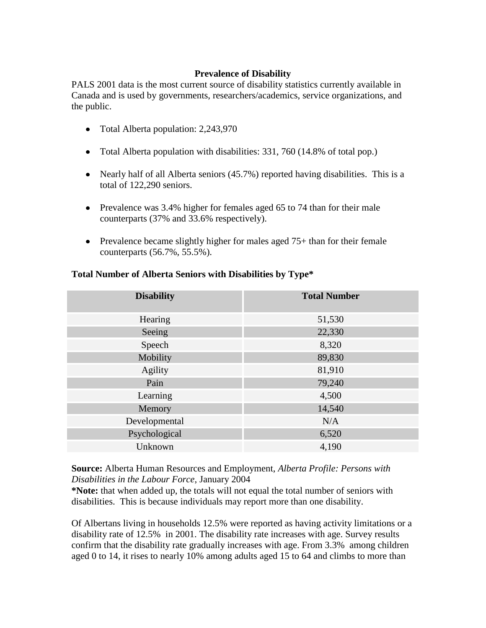## **Prevalence of Disability**

PALS 2001 data is the most current source of disability statistics currently available in Canada and is used by governments, researchers/academics, service organizations, and the public.

- Total Alberta population: 2,243,970
- Total Alberta population with disabilities: 331, 760 (14.8% of total pop.)
- Nearly half of all Alberta seniors (45.7%) reported having disabilities. This is a total of 122,290 seniors.
- Prevalence was 3.4% higher for females aged 65 to 74 than for their male counterparts (37% and 33.6% respectively).
- Prevalence became slightly higher for males aged  $75+$  than for their female counterparts (56.7%, 55.5%).

| <b>Disability</b> | <b>Total Number</b> |
|-------------------|---------------------|
| Hearing           | 51,530              |
| Seeing            | 22,330              |
| Speech            | 8,320               |
| Mobility          | 89,830              |
| Agility           | 81,910              |
| Pain              | 79,240              |
| Learning          | 4,500               |
| Memory            | 14,540              |
| Developmental     | N/A                 |
| Psychological     | 6,520               |
| Unknown           | 4,190               |

#### **Total Number of Alberta Seniors with Disabilities by Type\***

**Source:** Alberta Human Resources and Employment, *Alberta Profile: Persons with Disabilities in the Labour Force*, January 2004

**\*Note:** that when added up, the totals will not equal the total number of seniors with disabilities. This is because individuals may report more than one disability.

Of Albertans living in households 12.5% were reported as having activity limitations or a disability rate of 12.5% in 2001. The disability rate increases with age. Survey results confirm that the disability rate gradually increases with age. From 3.3% among children aged 0 to 14, it rises to nearly 10% among adults aged 15 to 64 and climbs to more than